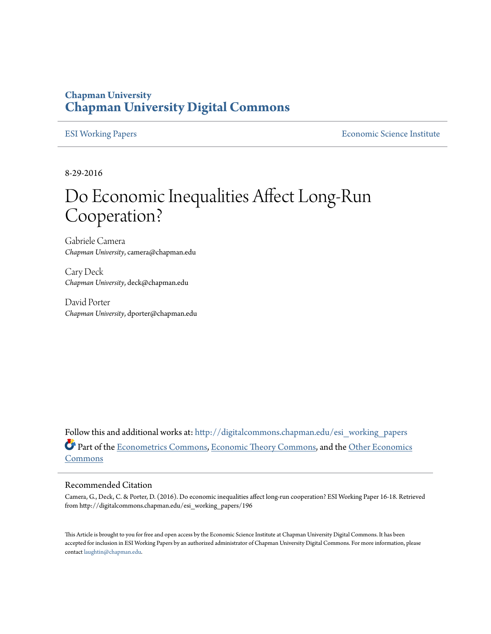#### **Chapman University [Chapman University Digital Commons](http://digitalcommons.chapman.edu?utm_source=digitalcommons.chapman.edu%2Fesi_working_papers%2F196&utm_medium=PDF&utm_campaign=PDFCoverPages)**

[ESI Working Papers](http://digitalcommons.chapman.edu/esi_working_papers?utm_source=digitalcommons.chapman.edu%2Fesi_working_papers%2F196&utm_medium=PDF&utm_campaign=PDFCoverPages) **[Economic Science Institute](http://digitalcommons.chapman.edu/esi?utm_source=digitalcommons.chapman.edu%2Fesi_working_papers%2F196&utm_medium=PDF&utm_campaign=PDFCoverPages)** 

8-29-2016

# Do Economic Inequalities Affect Long-Run Cooperation?

Gabriele Camera *Chapman University*, camera@chapman.edu

Cary Deck *Chapman University*, deck@chapman.edu

David Porter *Chapman University*, dporter@chapman.edu

Follow this and additional works at: [http://digitalcommons.chapman.edu/esi\\_working\\_papers](http://digitalcommons.chapman.edu/esi_working_papers?utm_source=digitalcommons.chapman.edu%2Fesi_working_papers%2F196&utm_medium=PDF&utm_campaign=PDFCoverPages) Part of the [Econometrics Commons,](http://network.bepress.com/hgg/discipline/342?utm_source=digitalcommons.chapman.edu%2Fesi_working_papers%2F196&utm_medium=PDF&utm_campaign=PDFCoverPages) [Economic Theory Commons](http://network.bepress.com/hgg/discipline/344?utm_source=digitalcommons.chapman.edu%2Fesi_working_papers%2F196&utm_medium=PDF&utm_campaign=PDFCoverPages), and the [Other Economics](http://network.bepress.com/hgg/discipline/353?utm_source=digitalcommons.chapman.edu%2Fesi_working_papers%2F196&utm_medium=PDF&utm_campaign=PDFCoverPages) [Commons](http://network.bepress.com/hgg/discipline/353?utm_source=digitalcommons.chapman.edu%2Fesi_working_papers%2F196&utm_medium=PDF&utm_campaign=PDFCoverPages)

#### Recommended Citation

Camera, G., Deck, C. & Porter, D. (2016). Do economic inequalities affect long-run cooperation? ESI Working Paper 16-18. Retrieved from http://digitalcommons.chapman.edu/esi\_working\_papers/196

This Article is brought to you for free and open access by the Economic Science Institute at Chapman University Digital Commons. It has been accepted for inclusion in ESI Working Papers by an authorized administrator of Chapman University Digital Commons. For more information, please contact [laughtin@chapman.edu](mailto:laughtin@chapman.edu).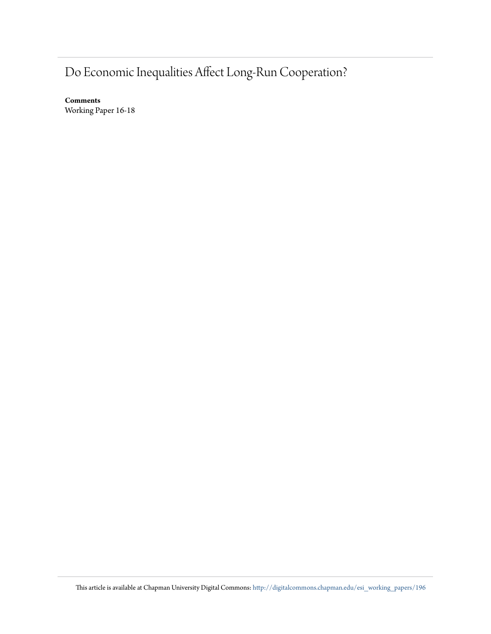## Do Economic Inequalities Affect Long-Run Cooperation?

**Comments** Working Paper 16-18

This article is available at Chapman University Digital Commons: [http://digitalcommons.chapman.edu/esi\\_working\\_papers/196](http://digitalcommons.chapman.edu/esi_working_papers/196?utm_source=digitalcommons.chapman.edu%2Fesi_working_papers%2F196&utm_medium=PDF&utm_campaign=PDFCoverPages)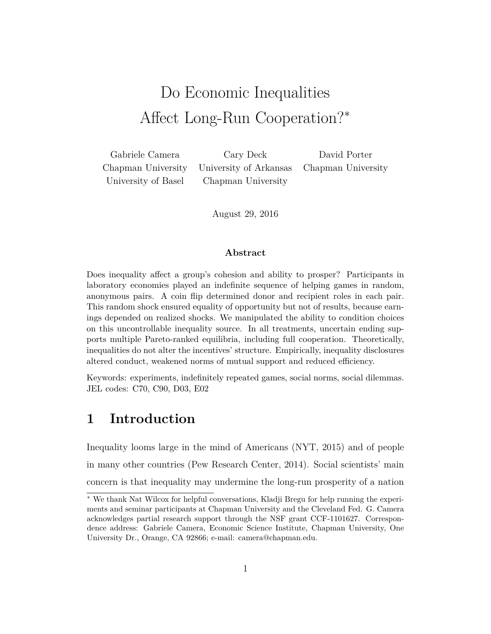## Do Economic Inequalities Affect Long-Run Cooperation?<sup>∗</sup>

Chapman University University of Arkansas Chapman University University of Basel Chapman University

Gabriele Camera Cary Deck David Porter

August 29, 2016

#### **Abstract**

Does inequality affect a group's cohesion and ability to prosper? Participants in laboratory economies played an indefinite sequence of helping games in random, anonymous pairs. A coin flip determined donor and recipient roles in each pair. This random shock ensured equality of opportunity but not of results, because earnings depended on realized shocks. We manipulated the ability to condition choices on this uncontrollable inequality source. In all treatments, uncertain ending supports multiple Pareto-ranked equilibria, including full cooperation. Theoretically, inequalities do not alter the incentives' structure. Empirically, inequality disclosures altered conduct, weakened norms of mutual support and reduced efficiency.

Keywords: experiments, indefinitely repeated games, social norms, social dilemmas. JEL codes: C70, C90, D03, E02

## **1 Introduction**

Inequality looms large in the mind of Americans (NYT, 2015) and of people in many other countries (Pew Research Center, 2014). Social scientists' main concern is that inequality may undermine the long-run prosperity of a nation

<sup>∗</sup> We thank Nat Wilcox for helpful conversations, Kladji Bregu for help running the experiments and seminar participants at Chapman University and the Cleveland Fed. G. Camera acknowledges partial research support through the NSF grant CCF-1101627. Correspondence address: Gabriele Camera, Economic Science Institute, Chapman University, One University Dr., Orange, CA 92866; e-mail: camera@chapman.edu.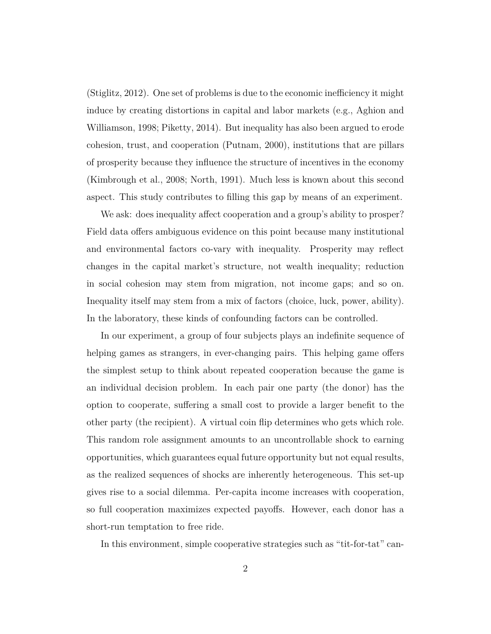(Stiglitz, 2012). One set of problems is due to the economic inefficiency it might induce by creating distortions in capital and labor markets (e.g., Aghion and Williamson, 1998; Piketty, 2014). But inequality has also been argued to erode cohesion, trust, and cooperation (Putnam, 2000), institutions that are pillars of prosperity because they influence the structure of incentives in the economy (Kimbrough et al., 2008; North, 1991). Much less is known about this second aspect. This study contributes to filling this gap by means of an experiment.

We ask: does inequality affect cooperation and a group's ability to prosper? Field data offers ambiguous evidence on this point because many institutional and environmental factors co-vary with inequality. Prosperity may reflect changes in the capital market's structure, not wealth inequality; reduction in social cohesion may stem from migration, not income gaps; and so on. Inequality itself may stem from a mix of factors (choice, luck, power, ability). In the laboratory, these kinds of confounding factors can be controlled.

In our experiment, a group of four subjects plays an indefinite sequence of helping games as strangers, in ever-changing pairs. This helping game offers the simplest setup to think about repeated cooperation because the game is an individual decision problem. In each pair one party (the donor) has the option to cooperate, suffering a small cost to provide a larger benefit to the other party (the recipient). A virtual coin flip determines who gets which role. This random role assignment amounts to an uncontrollable shock to earning opportunities, which guarantees equal future opportunity but not equal results, as the realized sequences of shocks are inherently heterogeneous. This set-up gives rise to a social dilemma. Per-capita income increases with cooperation, so full cooperation maximizes expected payoffs. However, each donor has a short-run temptation to free ride.

In this environment, simple cooperative strategies such as "tit-for-tat" can-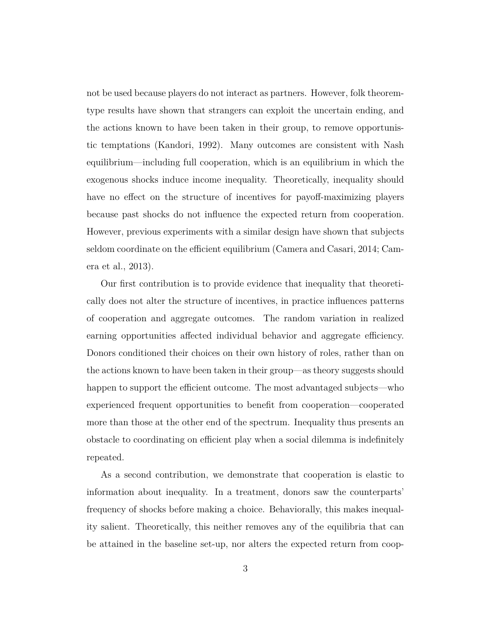not be used because players do not interact as partners. However, folk theoremtype results have shown that strangers can exploit the uncertain ending, and the actions known to have been taken in their group, to remove opportunistic temptations (Kandori, 1992). Many outcomes are consistent with Nash equilibrium—including full cooperation, which is an equilibrium in which the exogenous shocks induce income inequality. Theoretically, inequality should have no effect on the structure of incentives for payoff-maximizing players because past shocks do not influence the expected return from cooperation. However, previous experiments with a similar design have shown that subjects seldom coordinate on the efficient equilibrium (Camera and Casari, 2014; Camera et al., 2013).

Our first contribution is to provide evidence that inequality that theoretically does not alter the structure of incentives, in practice influences patterns of cooperation and aggregate outcomes. The random variation in realized earning opportunities affected individual behavior and aggregate efficiency. Donors conditioned their choices on their own history of roles, rather than on the actions known to have been taken in their group—as theory suggests should happen to support the efficient outcome. The most advantaged subjects—who experienced frequent opportunities to benefit from cooperation—cooperated more than those at the other end of the spectrum. Inequality thus presents an obstacle to coordinating on efficient play when a social dilemma is indefinitely repeated.

As a second contribution, we demonstrate that cooperation is elastic to information about inequality. In a treatment, donors saw the counterparts' frequency of shocks before making a choice. Behaviorally, this makes inequality salient. Theoretically, this neither removes any of the equilibria that can be attained in the baseline set-up, nor alters the expected return from coop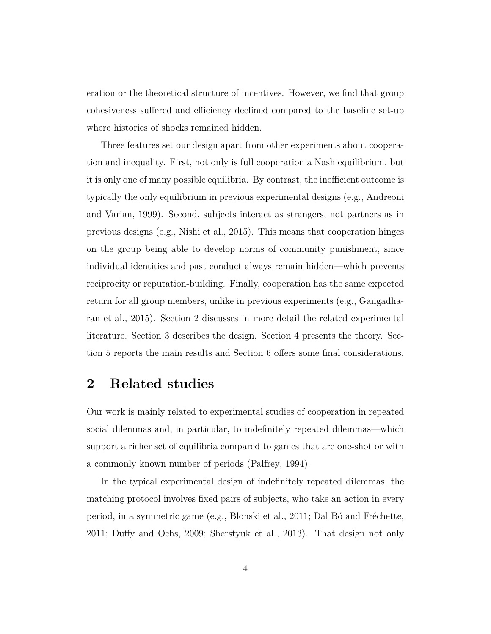eration or the theoretical structure of incentives. However, we find that group cohesiveness suffered and efficiency declined compared to the baseline set-up where histories of shocks remained hidden.

Three features set our design apart from other experiments about cooperation and inequality. First, not only is full cooperation a Nash equilibrium, but it is only one of many possible equilibria. By contrast, the inefficient outcome is typically the only equilibrium in previous experimental designs (e.g., Andreoni and Varian, 1999). Second, subjects interact as strangers, not partners as in previous designs (e.g., Nishi et al., 2015). This means that cooperation hinges on the group being able to develop norms of community punishment, since individual identities and past conduct always remain hidden—which prevents reciprocity or reputation-building. Finally, cooperation has the same expected return for all group members, unlike in previous experiments (e.g., Gangadharan et al., 2015). Section 2 discusses in more detail the related experimental literature. Section 3 describes the design. Section 4 presents the theory. Section 5 reports the main results and Section 6 offers some final considerations.

## **2 Related studies**

Our work is mainly related to experimental studies of cooperation in repeated social dilemmas and, in particular, to indefinitely repeated dilemmas—which support a richer set of equilibria compared to games that are one-shot or with a commonly known number of periods (Palfrey, 1994).

In the typical experimental design of indefinitely repeated dilemmas, the matching protocol involves fixed pairs of subjects, who take an action in every period, in a symmetric game (e.g., Blonski et al., 2011; Dal Bó and Fréchette, 2011; Duffy and Ochs, 2009; Sherstyuk et al., 2013). That design not only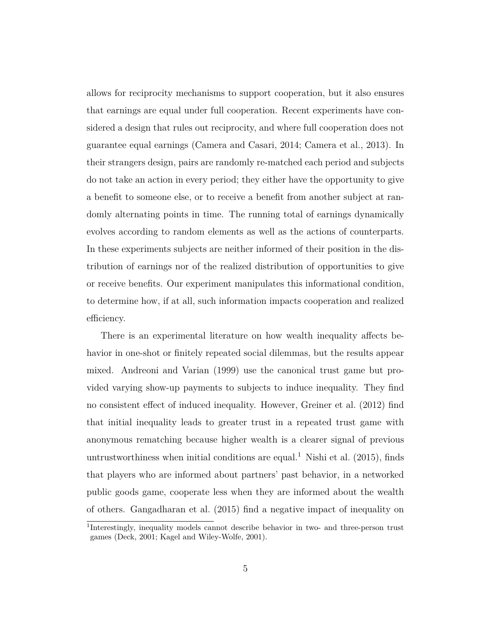allows for reciprocity mechanisms to support cooperation, but it also ensures that earnings are equal under full cooperation. Recent experiments have considered a design that rules out reciprocity, and where full cooperation does not guarantee equal earnings (Camera and Casari, 2014; Camera et al., 2013). In their strangers design, pairs are randomly re-matched each period and subjects do not take an action in every period; they either have the opportunity to give a benefit to someone else, or to receive a benefit from another subject at randomly alternating points in time. The running total of earnings dynamically evolves according to random elements as well as the actions of counterparts. In these experiments subjects are neither informed of their position in the distribution of earnings nor of the realized distribution of opportunities to give or receive benefits. Our experiment manipulates this informational condition, to determine how, if at all, such information impacts cooperation and realized efficiency.

There is an experimental literature on how wealth inequality affects behavior in one-shot or finitely repeated social dilemmas, but the results appear mixed. Andreoni and Varian (1999) use the canonical trust game but provided varying show-up payments to subjects to induce inequality. They find no consistent effect of induced inequality. However, Greiner et al. (2012) find that initial inequality leads to greater trust in a repeated trust game with anonymous rematching because higher wealth is a clearer signal of previous untrustworthiness when initial conditions are equal.<sup>1</sup> Nishi et al.  $(2015)$ , finds that players who are informed about partners' past behavior, in a networked public goods game, cooperate less when they are informed about the wealth of others. Gangadharan et al. (2015) find a negative impact of inequality on

<sup>&</sup>lt;sup>1</sup>Interestingly, inequality models cannot describe behavior in two- and three-person trust games (Deck, 2001; Kagel and Wiley-Wolfe, 2001).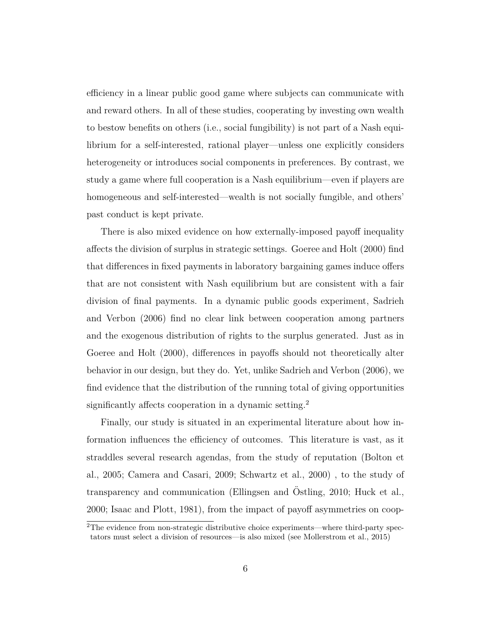efficiency in a linear public good game where subjects can communicate with and reward others. In all of these studies, cooperating by investing own wealth to bestow benefits on others (i.e., social fungibility) is not part of a Nash equilibrium for a self-interested, rational player—unless one explicitly considers heterogeneity or introduces social components in preferences. By contrast, we study a game where full cooperation is a Nash equilibrium—even if players are homogeneous and self-interested—wealth is not socially fungible, and others' past conduct is kept private.

There is also mixed evidence on how externally-imposed payoff inequality affects the division of surplus in strategic settings. Goeree and Holt (2000) find that differences in fixed payments in laboratory bargaining games induce offers that are not consistent with Nash equilibrium but are consistent with a fair division of final payments. In a dynamic public goods experiment, Sadrieh and Verbon (2006) find no clear link between cooperation among partners and the exogenous distribution of rights to the surplus generated. Just as in Goeree and Holt (2000), differences in payoffs should not theoretically alter behavior in our design, but they do. Yet, unlike Sadrieh and Verbon (2006), we find evidence that the distribution of the running total of giving opportunities significantly affects cooperation in a dynamic setting.<sup>2</sup>

Finally, our study is situated in an experimental literature about how information influences the efficiency of outcomes. This literature is vast, as it straddles several research agendas, from the study of reputation (Bolton et al., 2005; Camera and Casari, 2009; Schwartz et al., 2000) , to the study of transparency and communication (Ellingsen and Ostling, 2010; Huck et al., 2000; Isaac and Plott, 1981), from the impact of payoff asymmetries on coop-

 $2$ The evidence from non-strategic distributive choice experiments—where third-party spectators must select a division of resources—is also mixed (see Mollerstrom et al., 2015)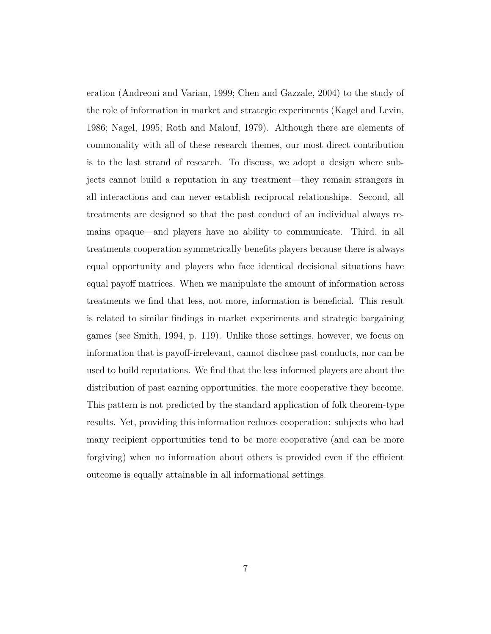eration (Andreoni and Varian, 1999; Chen and Gazzale, 2004) to the study of the role of information in market and strategic experiments (Kagel and Levin, 1986; Nagel, 1995; Roth and Malouf, 1979). Although there are elements of commonality with all of these research themes, our most direct contribution is to the last strand of research. To discuss, we adopt a design where subjects cannot build a reputation in any treatment—they remain strangers in all interactions and can never establish reciprocal relationships. Second, all treatments are designed so that the past conduct of an individual always remains opaque—and players have no ability to communicate. Third, in all treatments cooperation symmetrically benefits players because there is always equal opportunity and players who face identical decisional situations have equal payoff matrices. When we manipulate the amount of information across treatments we find that less, not more, information is beneficial. This result is related to similar findings in market experiments and strategic bargaining games (see Smith, 1994, p. 119). Unlike those settings, however, we focus on information that is payoff-irrelevant, cannot disclose past conducts, nor can be used to build reputations. We find that the less informed players are about the distribution of past earning opportunities, the more cooperative they become. This pattern is not predicted by the standard application of folk theorem-type results. Yet, providing this information reduces cooperation: subjects who had many recipient opportunities tend to be more cooperative (and can be more forgiving) when no information about others is provided even if the efficient outcome is equally attainable in all informational settings.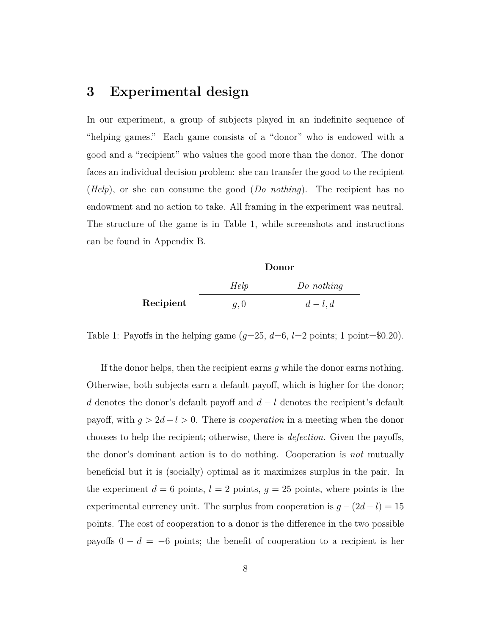### **3 Experimental design**

In our experiment, a group of subjects played in an indefinite sequence of "helping games." Each game consists of a "donor" who is endowed with a good and a "recipient" who values the good more than the donor. The donor faces an individual decision problem: she can transfer the good to the recipient (*Help*), or she can consume the good (*Do nothing*). The recipient has no endowment and no action to take. All framing in the experiment was neutral. The structure of the game is in Table 1, while screenshots and instructions can be found in Appendix B.

|           | Donor |              |  |
|-----------|-------|--------------|--|
|           | Help  | $Do$ nothing |  |
| Recipient | q,0   | $d-l, d$     |  |

Table 1: Payoffs in the helping game  $(q=25, d=6, l=2 \text{ points}; 1 \text{ point} = $0.20)$ .

If the donor helps, then the recipient earns *g* while the donor earns nothing. Otherwise, both subjects earn a default payoff, which is higher for the donor; *d* denotes the donor's default payoff and *d* − *l* denotes the recipient's default payoff, with  $g > 2d - l > 0$ . There is *cooperation* in a meeting when the donor chooses to help the recipient; otherwise, there is *defection*. Given the payoffs, the donor's dominant action is to do nothing. Cooperation is *not* mutually beneficial but it is (socially) optimal as it maximizes surplus in the pair. In the experiment  $d = 6$  points,  $l = 2$  points,  $g = 25$  points, where points is the experimental currency unit. The surplus from cooperation is  $g - (2d - l) = 15$ points. The cost of cooperation to a donor is the difference in the two possible payoffs  $0 - d = -6$  points; the benefit of cooperation to a recipient is her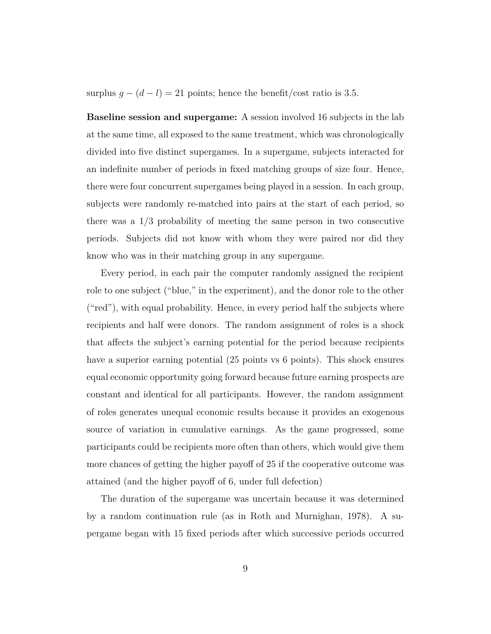surplus  $g - (d - l) = 21$  points; hence the benefit/cost ratio is 3.5.

**Baseline session and supergame:** A session involved 16 subjects in the lab at the same time, all exposed to the same treatment, which was chronologically divided into five distinct supergames. In a supergame, subjects interacted for an indefinite number of periods in fixed matching groups of size four. Hence, there were four concurrent supergames being played in a session. In each group, subjects were randomly re-matched into pairs at the start of each period, so there was a 1*/*3 probability of meeting the same person in two consecutive periods. Subjects did not know with whom they were paired nor did they know who was in their matching group in any supergame.

Every period, in each pair the computer randomly assigned the recipient role to one subject ("blue," in the experiment), and the donor role to the other ("red"), with equal probability. Hence, in every period half the subjects where recipients and half were donors. The random assignment of roles is a shock that affects the subject's earning potential for the period because recipients have a superior earning potential (25 points vs 6 points). This shock ensures equal economic opportunity going forward because future earning prospects are constant and identical for all participants. However, the random assignment of roles generates unequal economic results because it provides an exogenous source of variation in cumulative earnings. As the game progressed, some participants could be recipients more often than others, which would give them more chances of getting the higher payoff of 25 if the cooperative outcome was attained (and the higher payoff of 6, under full defection)

The duration of the supergame was uncertain because it was determined by a random continuation rule (as in Roth and Murnighan, 1978). A supergame began with 15 fixed periods after which successive periods occurred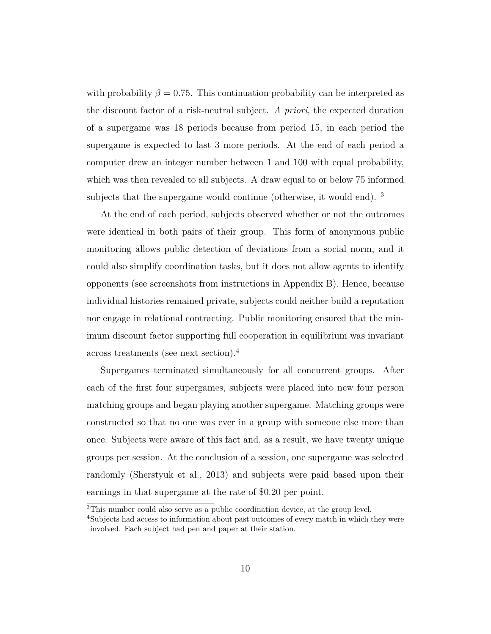with probability  $\beta = 0.75$ . This continuation probability can be interpreted as the discount factor of a risk-neutral subject. *A priori*, the expected duration of a supergame was 18 periods because from period 15, in each period the supergame is expected to last 3 more periods. At the end of each period a computer drew an integer number between 1 and 100 with equal probability, which was then revealed to all subjects. A draw equal to or below 75 informed subjects that the supergame would continue (otherwise, it would end). <sup>3</sup>

At the end of each period, subjects observed whether or not the outcomes were identical in both pairs of their group. This form of anonymous public monitoring allows public detection of deviations from a social norm, and it could also simplify coordination tasks, but it does not allow agents to identify opponents (see screenshots from instructions in Appendix B). Hence, because individual histories remained private, subjects could neither build a reputation nor engage in relational contracting. Public monitoring ensured that the minimum discount factor supporting full cooperation in equilibrium was invariant across treatments (see next section).<sup>4</sup>

Supergames terminated simultaneously for all concurrent groups. After each of the first four supergames, subjects were placed into new four person matching groups and began playing another supergame. Matching groups were constructed so that no one was ever in a group with someone else more than once. Subjects were aware of this fact and, as a result, we have twenty unique groups per session. At the conclusion of a session, one supergame was selected randomly (Sherstyuk et al., 2013) and subjects were paid based upon their earnings in that supergame at the rate of \$0.20 per point.

<sup>3</sup>This number could also serve as a public coordination device, at the group level.

<sup>4</sup>Subjects had access to information about past outcomes of every match in which they were involved. Each subject had pen and paper at their station.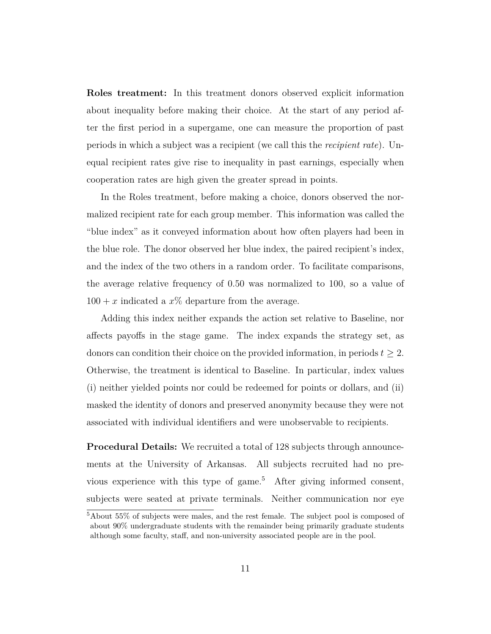**Roles treatment:** In this treatment donors observed explicit information about inequality before making their choice. At the start of any period after the first period in a supergame, one can measure the proportion of past periods in which a subject was a recipient (we call this the *recipient rate*). Unequal recipient rates give rise to inequality in past earnings, especially when cooperation rates are high given the greater spread in points.

In the Roles treatment, before making a choice, donors observed the normalized recipient rate for each group member. This information was called the "blue index" as it conveyed information about how often players had been in the blue role. The donor observed her blue index, the paired recipient's index, and the index of the two others in a random order. To facilitate comparisons, the average relative frequency of 0.50 was normalized to 100, so a value of  $100 + x$  indicated a  $x\%$  departure from the average.

Adding this index neither expands the action set relative to Baseline, nor affects payoffs in the stage game. The index expands the strategy set, as donors can condition their choice on the provided information, in periods  $t \geq 2$ . Otherwise, the treatment is identical to Baseline. In particular, index values (i) neither yielded points nor could be redeemed for points or dollars, and (ii) masked the identity of donors and preserved anonymity because they were not associated with individual identifiers and were unobservable to recipients.

**Procedural Details:** We recruited a total of 128 subjects through announcements at the University of Arkansas. All subjects recruited had no previous experience with this type of game.<sup>5</sup> After giving informed consent, subjects were seated at private terminals. Neither communication nor eye

 $54$ bout  $55\%$  of subjects were males, and the rest female. The subject pool is composed of about 90% undergraduate students with the remainder being primarily graduate students although some faculty, staff, and non-university associated people are in the pool.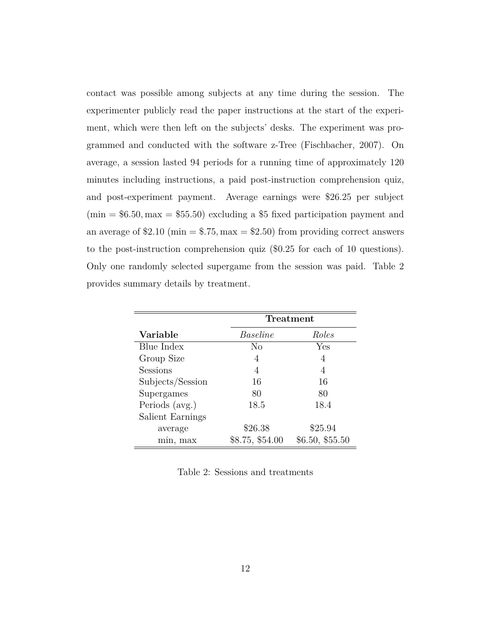contact was possible among subjects at any time during the session. The experimenter publicly read the paper instructions at the start of the experiment, which were then left on the subjects' desks. The experiment was programmed and conducted with the software z-Tree (Fischbacher, 2007). On average, a session lasted 94 periods for a running time of approximately 120 minutes including instructions, a paid post-instruction comprehension quiz, and post-experiment payment. Average earnings were \$26.25 per subject (min = \$6*.*50*,* max = \$55*.*50) excluding a \$5 fixed participation payment and an average of  $$2.10$  (min  $= $.75$ , max  $= $2.50$ ) from providing correct answers to the post-instruction comprehension quiz (\$0*.*25 for each of 10 questions). Only one randomly selected supergame from the session was paid. Table 2 provides summary details by treatment.

|                  | <b>Treatment</b> |                 |  |  |  |
|------------------|------------------|-----------------|--|--|--|
| Variable         | Baseline         | Roles           |  |  |  |
| Blue Index       | No               | Yes             |  |  |  |
| Group Size       | 4                | 4               |  |  |  |
| Sessions         | 4                | 4               |  |  |  |
| Subjects/Session | 16               | 16              |  |  |  |
| Supergames       | 80               | 80              |  |  |  |
| Periods (avg.)   | 18.5             | 18.4            |  |  |  |
| Salient Earnings |                  |                 |  |  |  |
| average          | \$26.38          | \$25.94         |  |  |  |
| min, max         | \$8.75, \$54.00  | \$6.50, \$55.50 |  |  |  |

Table 2: Sessions and treatments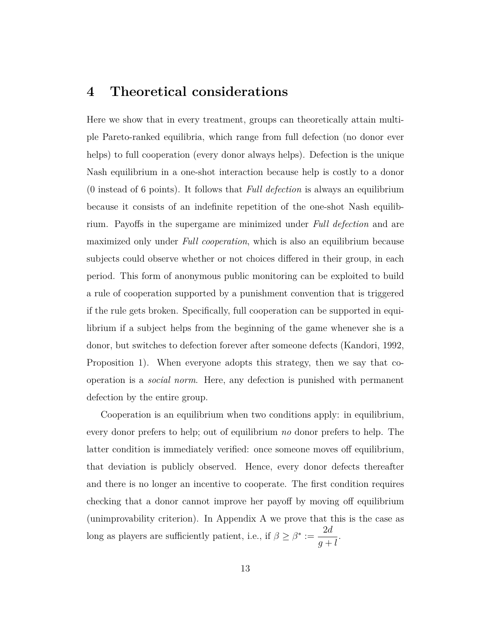#### **4 Theoretical considerations**

Here we show that in every treatment, groups can theoretically attain multiple Pareto-ranked equilibria, which range from full defection (no donor ever helps) to full cooperation (every donor always helps). Defection is the unique Nash equilibrium in a one-shot interaction because help is costly to a donor (0 instead of 6 points). It follows that *Full defection* is always an equilibrium because it consists of an indefinite repetition of the one-shot Nash equilibrium. Payoffs in the supergame are minimized under *Full defection* and are maximized only under *Full cooperation*, which is also an equilibrium because subjects could observe whether or not choices differed in their group, in each period. This form of anonymous public monitoring can be exploited to build a rule of cooperation supported by a punishment convention that is triggered if the rule gets broken. Specifically, full cooperation can be supported in equilibrium if a subject helps from the beginning of the game whenever she is a donor, but switches to defection forever after someone defects (Kandori, 1992, Proposition 1). When everyone adopts this strategy, then we say that cooperation is a *social norm*. Here, any defection is punished with permanent defection by the entire group.

Cooperation is an equilibrium when two conditions apply: in equilibrium, every donor prefers to help; out of equilibrium *no* donor prefers to help. The latter condition is immediately verified: once someone moves off equilibrium, that deviation is publicly observed. Hence, every donor defects thereafter and there is no longer an incentive to cooperate. The first condition requires checking that a donor cannot improve her payoff by moving off equilibrium (unimprovability criterion). In Appendix A we prove that this is the case as long as players are sufficiently patient, i.e., if  $\beta \geq \beta^* :=$ 2*d g* + *l .*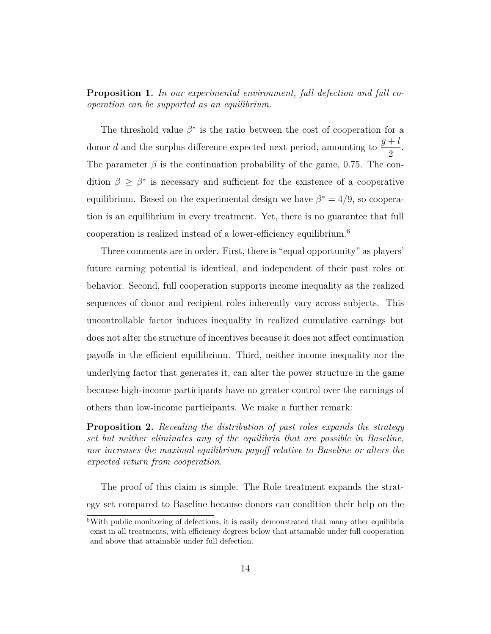**Proposition 1.** *In our experimental environment, full defection and full cooperation can be supported as an equilibrium.*

The threshold value  $\beta^*$  is the ratio between the cost of cooperation for a donor *d* and the surplus difference expected next period, amounting to  $\frac{g+l}{g}$ 2 . The parameter  $\beta$  is the continuation probability of the game, 0.75. The condition  $\beta \geq \beta^*$  is necessary and sufficient for the existence of a cooperative equilibrium. Based on the experimental design we have  $\beta^* = 4/9$ , so cooperation is an equilibrium in every treatment. Yet, there is no guarantee that full cooperation is realized instead of a lower-efficiency equilibrium.<sup>6</sup>

Three comments are in order. First, there is "equal opportunity" as players' future earning potential is identical, and independent of their past roles or behavior. Second, full cooperation supports income inequality as the realized sequences of donor and recipient roles inherently vary across subjects. This uncontrollable factor induces inequality in realized cumulative earnings but does not alter the structure of incentives because it does not affect continuation payoffs in the efficient equilibrium. Third, neither income inequality nor the underlying factor that generates it, can alter the power structure in the game because high-income participants have no greater control over the earnings of others than low-income participants. We make a further remark:

**Proposition 2.** *Revealing the distribution of past roles expands the strategy set but neither eliminates any of the equilibria that are possible in Baseline, nor increases the maximal equilibrium payoff relative to Baseline or alters the expected return from cooperation.*

The proof of this claim is simple. The Role treatment expands the strategy set compared to Baseline because donors can condition their help on the

<sup>&</sup>lt;sup>6</sup>With public monitoring of defections, it is easily demonstrated that many other equilibria exist in all treatments, with efficiency degrees below that attainable under full cooperation and above that attainable under full defection.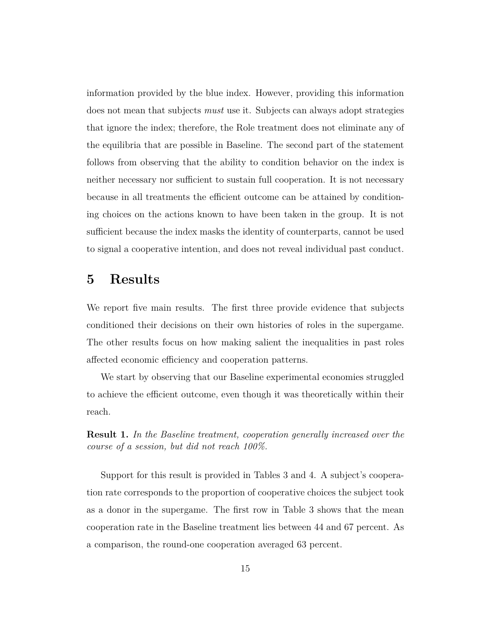information provided by the blue index. However, providing this information does not mean that subjects *must* use it. Subjects can always adopt strategies that ignore the index; therefore, the Role treatment does not eliminate any of the equilibria that are possible in Baseline. The second part of the statement follows from observing that the ability to condition behavior on the index is neither necessary nor sufficient to sustain full cooperation. It is not necessary because in all treatments the efficient outcome can be attained by conditioning choices on the actions known to have been taken in the group. It is not sufficient because the index masks the identity of counterparts, cannot be used to signal a cooperative intention, and does not reveal individual past conduct.

### **5 Results**

We report five main results. The first three provide evidence that subjects conditioned their decisions on their own histories of roles in the supergame. The other results focus on how making salient the inequalities in past roles affected economic efficiency and cooperation patterns.

We start by observing that our Baseline experimental economies struggled to achieve the efficient outcome, even though it was theoretically within their reach.

**Result 1.** *In the Baseline treatment, cooperation generally increased over the course of a session, but did not reach 100%.*

Support for this result is provided in Tables 3 and 4. A subject's cooperation rate corresponds to the proportion of cooperative choices the subject took as a donor in the supergame. The first row in Table 3 shows that the mean cooperation rate in the Baseline treatment lies between 44 and 67 percent. As a comparison, the round-one cooperation averaged 63 percent.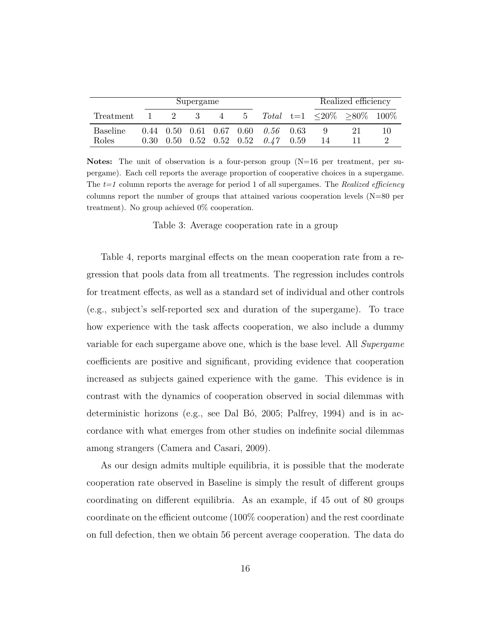|                 | Supergame |       |    |                | Realized efficiency |                                                  |  |    |                               |    |
|-----------------|-----------|-------|----|----------------|---------------------|--------------------------------------------------|--|----|-------------------------------|----|
| Treatment       |           | $2 -$ | -3 | $\overline{4}$ | - 5                 |                                                  |  |    | Total $t=1$ <20\% >80\% 100\% |    |
| <b>Baseline</b> |           |       |    |                |                     | $0.44$ $0.50$ $0.61$ $0.67$ $0.60$ $0.56$ $0.63$ |  |    |                               | 10 |
| Roles           |           |       |    |                |                     | $0.30$ $0.50$ $0.52$ $0.52$ $0.52$ $0.47$ $0.59$ |  | 14 |                               |    |

**Notes:** The unit of observation is a four-person group (N=16 per treatment, per supergame). Each cell reports the average proportion of cooperative choices in a supergame. The *t=1* column reports the average for period 1 of all supergames. The *Realized efficiency* columns report the number of groups that attained various cooperation levels  $(N=80$  per treatment). No group achieved 0% cooperation.

Table 3: Average cooperation rate in a group

Table 4, reports marginal effects on the mean cooperation rate from a regression that pools data from all treatments. The regression includes controls for treatment effects, as well as a standard set of individual and other controls (e.g., subject's self-reported sex and duration of the supergame). To trace how experience with the task affects cooperation, we also include a dummy variable for each supergame above one, which is the base level. All *Supergame* coefficients are positive and significant, providing evidence that cooperation increased as subjects gained experience with the game. This evidence is in contrast with the dynamics of cooperation observed in social dilemmas with deterministic horizons (e.g., see Dal Bó, 2005; Palfrey, 1994) and is in accordance with what emerges from other studies on indefinite social dilemmas among strangers (Camera and Casari, 2009).

As our design admits multiple equilibria, it is possible that the moderate cooperation rate observed in Baseline is simply the result of different groups coordinating on different equilibria. As an example, if 45 out of 80 groups coordinate on the efficient outcome (100% cooperation) and the rest coordinate on full defection, then we obtain 56 percent average cooperation. The data do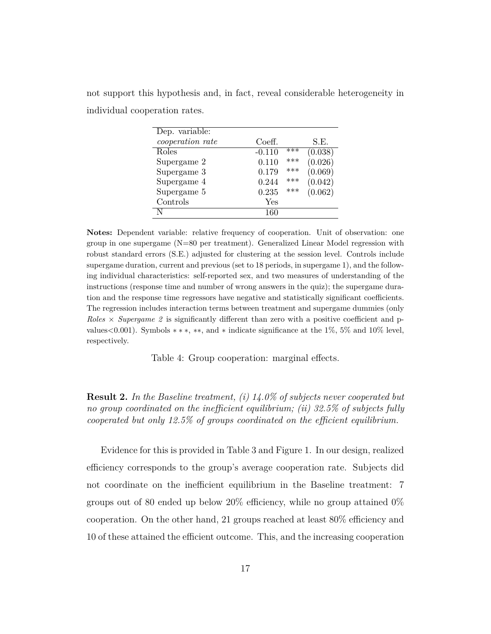not support this hypothesis and, in fact, reveal considerable heterogeneity in individual cooperation rates.

| Dep. variable:   |          |       |         |
|------------------|----------|-------|---------|
| cooperation rate | Coeff.   |       | S.E.    |
| Roles            | $-0.110$ | $***$ | (0.038) |
| Supergame 2      | 0.110    | ***   | (0.026) |
| Supergame 3      | 0.179    | ***   | (0.069) |
| Supergame 4      | 0.244    | ***   | (0.042) |
| Supergame 5      | 0.235    | ***   | (0.062) |
| Controls         | Yes      |       |         |
|                  | 160      |       |         |

**Notes:** Dependent variable: relative frequency of cooperation. Unit of observation: one group in one supergame (N=80 per treatment). Generalized Linear Model regression with robust standard errors (S.E.) adjusted for clustering at the session level. Controls include supergame duration, current and previous (set to 18 periods, in supergame 1), and the following individual characteristics: self-reported sex, and two measures of understanding of the instructions (response time and number of wrong answers in the quiz); the supergame duration and the response time regressors have negative and statistically significant coefficients. The regression includes interaction terms between treatment and supergame dummies (only *Roles* × *Supergame 2* is significantly different than zero with a positive coefficient and pvalues*<*0.001). Symbols ∗ ∗ ∗, ∗∗, and ∗ indicate significance at the 1%, 5% and 10% level, respectively.

Table 4: Group cooperation: marginal effects.

**Result 2.** *In the Baseline treatment, (i) 14.0% of subjects never cooperated but no group coordinated on the inefficient equilibrium; (ii) 32.5% of subjects fully cooperated but only 12.5% of groups coordinated on the efficient equilibrium.*

Evidence for this is provided in Table 3 and Figure 1. In our design, realized efficiency corresponds to the group's average cooperation rate. Subjects did not coordinate on the inefficient equilibrium in the Baseline treatment: 7 groups out of 80 ended up below 20% efficiency, while no group attained  $0\%$ cooperation. On the other hand, 21 groups reached at least 80% efficiency and 10 of these attained the efficient outcome. This, and the increasing cooperation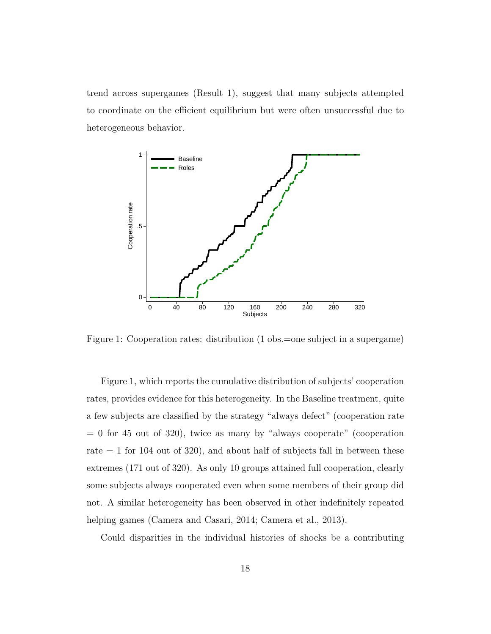trend across supergames (Result 1), suggest that many subjects attempted to coordinate on the efficient equilibrium but were often unsuccessful due to heterogeneous behavior.



Figure 1: Cooperation rates: distribution (1 obs.=one subject in a supergame)

Figure 1, which reports the cumulative distribution of subjects' cooperation rates, provides evidence for this heterogeneity. In the Baseline treatment, quite a few subjects are classified by the strategy "always defect" (cooperation rate  $= 0$  for 45 out of 320), twice as many by "always cooperate" (cooperation rate  $= 1$  for 104 out of 320), and about half of subjects fall in between these extremes (171 out of 320). As only 10 groups attained full cooperation, clearly some subjects always cooperated even when some members of their group did not. A similar heterogeneity has been observed in other indefinitely repeated helping games (Camera and Casari, 2014; Camera et al., 2013).

Could disparities in the individual histories of shocks be a contributing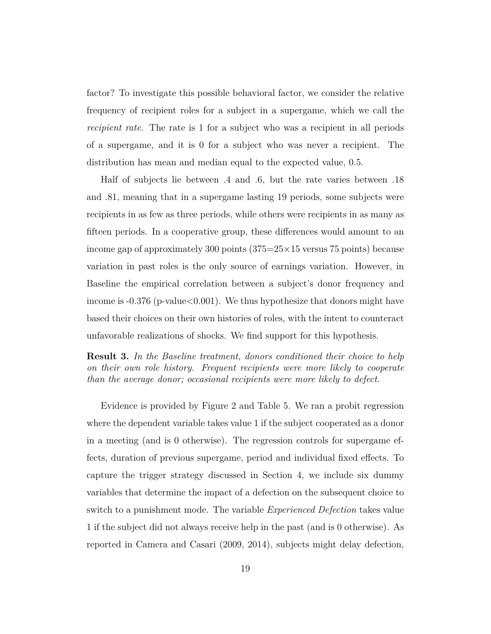factor? To investigate this possible behavioral factor, we consider the relative frequency of recipient roles for a subject in a supergame, which we call the *recipient rate*. The rate is 1 for a subject who was a recipient in all periods of a supergame, and it is 0 for a subject who was never a recipient. The distribution has mean and median equal to the expected value, 0.5.

Half of subjects lie between *.*4 and *.*6, but the rate varies between *.*18 and *.*81, meaning that in a supergame lasting 19 periods, some subjects were recipients in as few as three periods, while others were recipients in as many as fifteen periods. In a cooperative group, these differences would amount to an income gap of approximately 300 points  $(375=25\times15)$  versus 75 points) because variation in past roles is the only source of earnings variation. However, in Baseline the empirical correlation between a subject's donor frequency and income is -0.376 (p-value*<*0.001). We thus hypothesize that donors might have based their choices on their own histories of roles, with the intent to counteract unfavorable realizations of shocks. We find support for this hypothesis.

**Result 3.** *In the Baseline treatment, donors conditioned their choice to help on their own role history. Frequent recipients were more likely to cooperate than the average donor; occasional recipients were more likely to defect.*

Evidence is provided by Figure 2 and Table 5. We ran a probit regression where the dependent variable takes value 1 if the subject cooperated as a donor in a meeting (and is 0 otherwise). The regression controls for supergame effects, duration of previous supergame, period and individual fixed effects. To capture the trigger strategy discussed in Section 4, we include six dummy variables that determine the impact of a defection on the subsequent choice to switch to a punishment mode. The variable *Experienced Defection* takes value 1 if the subject did not always receive help in the past (and is 0 otherwise). As reported in Camera and Casari (2009, 2014), subjects might delay defection,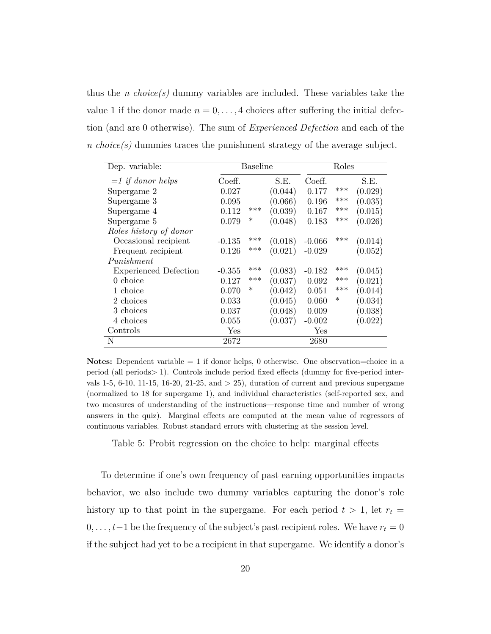thus the *n choice(s)* dummy variables are included. These variables take the value 1 if the donor made  $n = 0, \ldots, 4$  choices after suffering the initial defection (and are 0 otherwise). The sum of *Experienced Defection* and each of the *n choice(s)* dummies traces the punishment strategy of the average subject.

| Dep. variable:               | <b>Baseline</b> |        |         | Roles    |        |         |
|------------------------------|-----------------|--------|---------|----------|--------|---------|
| $=1$ if donor helps          | Coeff.          |        | S.E.    | Coeff.   |        | S.E.    |
| Supergame 2                  | 0.027           |        | (0.044) | 0.177    | $***$  | (0.029) |
| Supergame 3                  | 0.095           |        | (0.066) | 0.196    | ***    | (0.035) |
| Supergame 4                  | 0.112           | ***    | (0.039) | 0.167    | ***    | (0.015) |
| Supergame 5                  | 0.079           | $\ast$ | (0.048) | 0.183    | ***    | (0.026) |
| Roles history of donor       |                 |        |         |          |        |         |
| Occasional recipient         | $-0.135$        | ***    | (0.018) | $-0.066$ | ***    | (0.014) |
| Frequent recipient           | 0.126           | ***    | (0.021) | $-0.029$ |        | (0.052) |
| Punishment                   |                 |        |         |          |        |         |
| <b>Experienced Defection</b> | $-0.355$        | ***    | (0.083) | $-0.182$ | ***    | (0.045) |
| $0$ choice                   | 0.127           | ***    | (0.037) | 0.092    | ***    | (0.021) |
| 1 choice                     | 0.070           | $\ast$ | (0.042) | 0.051    | ***    | (0.014) |
| 2 choices                    | 0.033           |        | (0.045) | 0.060    | $\ast$ | (0.034) |
| 3 choices                    | 0.037           |        | (0.048) | 0.009    |        | (0.038) |
| 4 choices                    | 0.055           |        | (0.037) | $-0.002$ |        | (0.022) |
| Controls                     | Yes             |        |         | Yes      |        |         |
| N                            | 2672            |        |         | 2680     |        |         |

**Notes:** Dependent variable = 1 if donor helps, 0 otherwise. One observation=choice in a period (all periods*>* 1). Controls include period fixed effects (dummy for five-period intervals 1-5, 6-10, 11-15, 16-20, 21-25, and *>* 25), duration of current and previous supergame (normalized to 18 for supergame 1), and individual characteristics (self-reported sex, and two measures of understanding of the instructions—response time and number of wrong answers in the quiz). Marginal effects are computed at the mean value of regressors of continuous variables. Robust standard errors with clustering at the session level.

Table 5: Probit regression on the choice to help: marginal effects

To determine if one's own frequency of past earning opportunities impacts behavior, we also include two dummy variables capturing the donor's role history up to that point in the supergame. For each period  $t > 1$ , let  $r_t =$  $0, \ldots, t-1$  be the frequency of the subject's past recipient roles. We have  $r_t = 0$ if the subject had yet to be a recipient in that supergame. We identify a donor's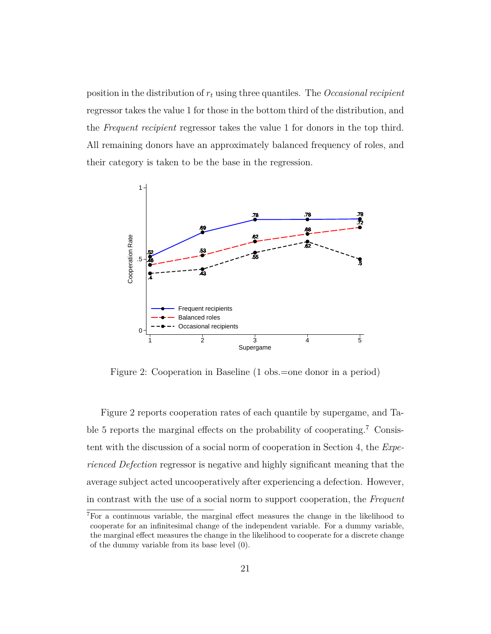position in the distribution of *r<sup>t</sup>* using three quantiles. The *Occasional recipient* regressor takes the value 1 for those in the bottom third of the distribution, and the *Frequent recipient* regressor takes the value 1 for donors in the top third. All remaining donors have an approximately balanced frequency of roles, and their category is taken to be the base in the regression.



Figure 2: Cooperation in Baseline (1 obs.=one donor in a period)

Figure 2 reports cooperation rates of each quantile by supergame, and Table 5 reports the marginal effects on the probability of cooperating.<sup>7</sup> Consistent with the discussion of a social norm of cooperation in Section 4, the *Experienced Defection* regressor is negative and highly significant meaning that the average subject acted uncooperatively after experiencing a defection. However, in contrast with the use of a social norm to support cooperation, the *Frequent*

<sup>7</sup>For a continuous variable, the marginal effect measures the change in the likelihood to cooperate for an infinitesimal change of the independent variable. For a dummy variable, the marginal effect measures the change in the likelihood to cooperate for a discrete change of the dummy variable from its base level (0).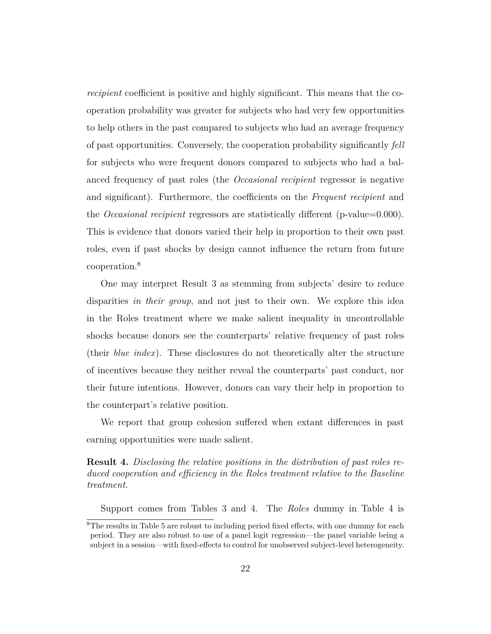*recipient* coefficient is positive and highly significant. This means that the cooperation probability was greater for subjects who had very few opportunities to help others in the past compared to subjects who had an average frequency of past opportunities. Conversely, the cooperation probability significantly *fell* for subjects who were frequent donors compared to subjects who had a balanced frequency of past roles (the *Occasional recipient* regressor is negative and significant). Furthermore, the coefficients on the *Frequent recipient* and the *Occasional recipient* regressors are statistically different (p-value=0.000). This is evidence that donors varied their help in proportion to their own past roles, even if past shocks by design cannot influence the return from future cooperation.<sup>8</sup>

One may interpret Result 3 as stemming from subjects' desire to reduce disparities *in their group*, and not just to their own. We explore this idea in the Roles treatment where we make salient inequality in uncontrollable shocks because donors see the counterparts' relative frequency of past roles (their *blue index*). These disclosures do not theoretically alter the structure of incentives because they neither reveal the counterparts' past conduct, nor their future intentions. However, donors can vary their help in proportion to the counterpart's relative position.

We report that group cohesion suffered when extant differences in past earning opportunities were made salient.

#### **Result 4.** *Disclosing the relative positions in the distribution of past roles reduced cooperation and efficiency in the Roles treatment relative to the Baseline treatment.*

Support comes from Tables 3 and 4. The *Roles* dummy in Table 4 is

<sup>&</sup>lt;sup>8</sup>The results in Table 5 are robust to including period fixed effects, with one dummy for each period. They are also robust to use of a panel logit regression—the panel variable being a subject in a session—with fixed-effects to control for unobserved subject-level heterogeneity.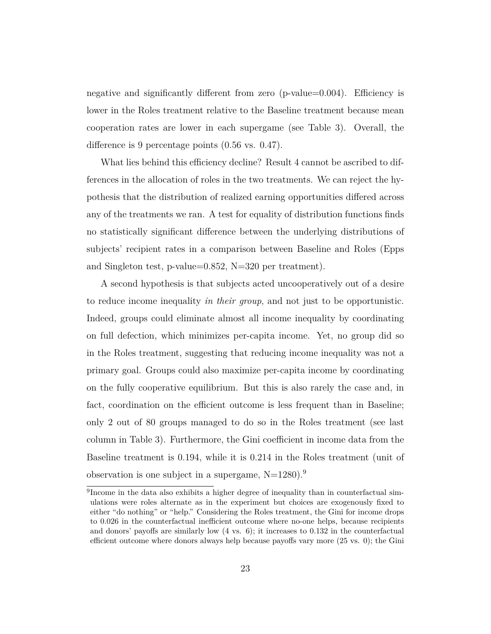negative and significantly different from zero (p-value=0.004). Efficiency is lower in the Roles treatment relative to the Baseline treatment because mean cooperation rates are lower in each supergame (see Table 3). Overall, the difference is 9 percentage points (0.56 vs. 0.47).

What lies behind this efficiency decline? Result 4 cannot be ascribed to differences in the allocation of roles in the two treatments. We can reject the hypothesis that the distribution of realized earning opportunities differed across any of the treatments we ran. A test for equality of distribution functions finds no statistically significant difference between the underlying distributions of subjects' recipient rates in a comparison between Baseline and Roles (Epps and Singleton test, p-value=0.852, N=320 per treatment).

A second hypothesis is that subjects acted uncooperatively out of a desire to reduce income inequality *in their group*, and not just to be opportunistic. Indeed, groups could eliminate almost all income inequality by coordinating on full defection, which minimizes per-capita income. Yet, no group did so in the Roles treatment, suggesting that reducing income inequality was not a primary goal. Groups could also maximize per-capita income by coordinating on the fully cooperative equilibrium. But this is also rarely the case and, in fact, coordination on the efficient outcome is less frequent than in Baseline; only 2 out of 80 groups managed to do so in the Roles treatment (see last column in Table 3). Furthermore, the Gini coefficient in income data from the Baseline treatment is 0.194, while it is 0.214 in the Roles treatment (unit of observation is one subject in a supergame,  $N=1280$ .<sup>9</sup>

<sup>&</sup>lt;sup>9</sup>Income in the data also exhibits a higher degree of inequality than in counterfactual simulations were roles alternate as in the experiment but choices are exogenously fixed to either "do nothing" or "help." Considering the Roles treatment, the Gini for income drops to 0.026 in the counterfactual inefficient outcome where no-one helps, because recipients and donors' payoffs are similarly low (4 vs. 6); it increases to 0.132 in the counterfactual efficient outcome where donors always help because payoffs vary more (25 vs. 0); the Gini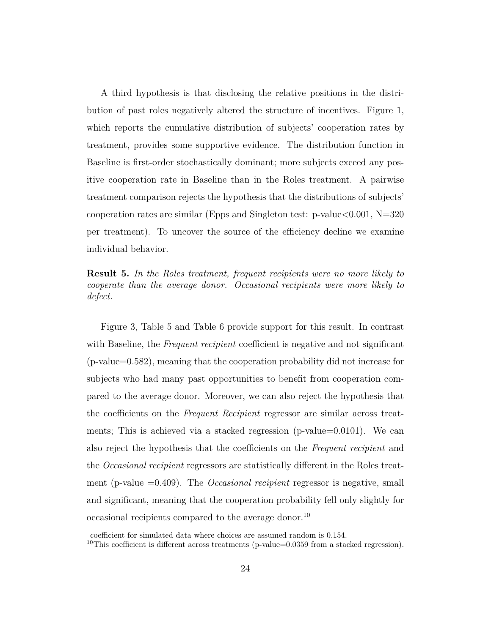A third hypothesis is that disclosing the relative positions in the distribution of past roles negatively altered the structure of incentives. Figure 1, which reports the cumulative distribution of subjects' cooperation rates by treatment, provides some supportive evidence. The distribution function in Baseline is first-order stochastically dominant; more subjects exceed any positive cooperation rate in Baseline than in the Roles treatment. A pairwise treatment comparison rejects the hypothesis that the distributions of subjects' cooperation rates are similar (Epps and Singleton test: p-value*<*0.001, N=320 per treatment). To uncover the source of the efficiency decline we examine individual behavior.

**Result 5.** *In the Roles treatment, frequent recipients were no more likely to cooperate than the average donor. Occasional recipients were more likely to defect.*

Figure 3, Table 5 and Table 6 provide support for this result. In contrast with Baseline, the *Frequent recipient* coefficient is negative and not significant (p-value=0.582), meaning that the cooperation probability did not increase for subjects who had many past opportunities to benefit from cooperation compared to the average donor. Moreover, we can also reject the hypothesis that the coefficients on the *Frequent Recipient* regressor are similar across treatments; This is achieved via a stacked regression (p-value=0.0101). We can also reject the hypothesis that the coefficients on the *Frequent recipient* and the *Occasional recipient* regressors are statistically different in the Roles treatment (p-value =0.409). The *Occasional recipient* regressor is negative, small and significant, meaning that the cooperation probability fell only slightly for occasional recipients compared to the average donor.<sup>10</sup>

coefficient for simulated data where choices are assumed random is 0.154.

<sup>&</sup>lt;sup>10</sup>This coefficient is different across treatments (p-value= $0.0359$  from a stacked regression).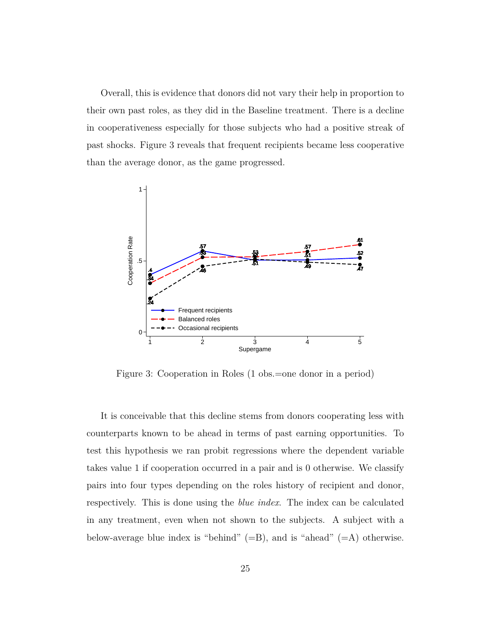Overall, this is evidence that donors did not vary their help in proportion to their own past roles, as they did in the Baseline treatment. There is a decline in cooperativeness especially for those subjects who had a positive streak of past shocks. Figure 3 reveals that frequent recipients became less cooperative than the average donor, as the game progressed.



Figure 3: Cooperation in Roles (1 obs.=one donor in a period)

It is conceivable that this decline stems from donors cooperating less with counterparts known to be ahead in terms of past earning opportunities. To test this hypothesis we ran probit regressions where the dependent variable takes value 1 if cooperation occurred in a pair and is 0 otherwise. We classify pairs into four types depending on the roles history of recipient and donor, respectively. This is done using the *blue index*. The index can be calculated in any treatment, even when not shown to the subjects. A subject with a below-average blue index is "behind"  $(=B)$ , and is "ahead"  $(=A)$  otherwise.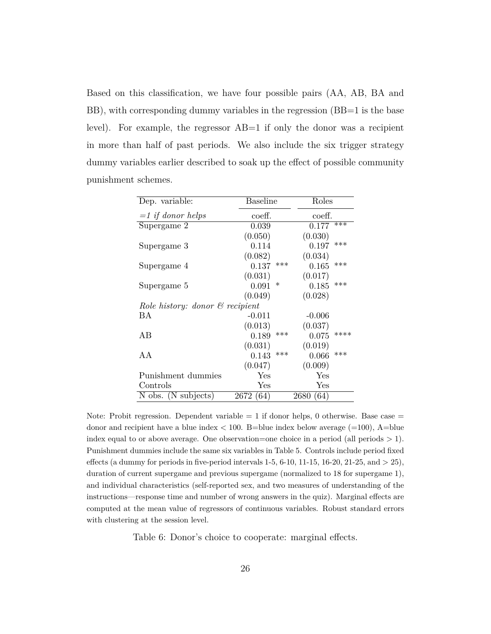Based on this classification, we have four possible pairs (AA, AB, BA and BB), with corresponding dummy variables in the regression (BB=1 is the base level). For example, the regressor AB=1 if only the donor was a recipient in more than half of past periods. We also include the six trigger strategy dummy variables earlier described to soak up the effect of possible community punishment schemes.

| Dep. variable:                             | Baseline     | Roles         |
|--------------------------------------------|--------------|---------------|
| $=1$ if donor helps                        | coeff.       | coeff.        |
| Supergame 2                                | 0.039        | ***<br>0.177  |
|                                            | (0.050)      | (0.030)       |
| Supergame 3                                | 0.114        | ***<br>0.197  |
|                                            | (0.082)      | (0.034)       |
| Supergame 4                                | ***<br>0.137 | ***<br>0.165  |
|                                            | (0.031)      | (0.017)       |
| Supergame 5                                | ∗<br>0.091   | ***<br>0.185  |
|                                            | (0.049)      | (0.028)       |
| Role history: donor $\mathcal C$ recipient |              |               |
| ВA                                         | $-0.011$     | $-0.006$      |
|                                            | (0.013)      | (0.037)       |
| AB                                         | ***<br>0.189 | ****<br>0.075 |
|                                            | (0.031)      | (0.019)       |
| A A                                        | ***<br>0.143 | ***<br>0.066  |
|                                            | (0.047)      | (0.009)       |
| Punishment dummies                         | Yes          | Yes           |
| Controls                                   | Yes          | ${\rm Yes}$   |
| N obs. (N subjects)                        | 2672 (64)    | 2680 (64)     |

Note: Probit regression. Dependent variable  $= 1$  if donor helps, 0 otherwise. Base case  $=$ donor and recipient have a blue index  $< 100$ . B=blue index below average  $(=100)$ , A=blue index equal to or above average. One observation=one choice in a period (all periods *>* 1). Punishment dummies include the same six variables in Table 5. Controls include period fixed effects (a dummy for periods in five-period intervals 1-5, 6-10, 11-15, 16-20, 21-25, and *>* 25), duration of current supergame and previous supergame (normalized to 18 for supergame 1), and individual characteristics (self-reported sex, and two measures of understanding of the instructions—response time and number of wrong answers in the quiz). Marginal effects are computed at the mean value of regressors of continuous variables. Robust standard errors with clustering at the session level.

Table 6: Donor's choice to cooperate: marginal effects.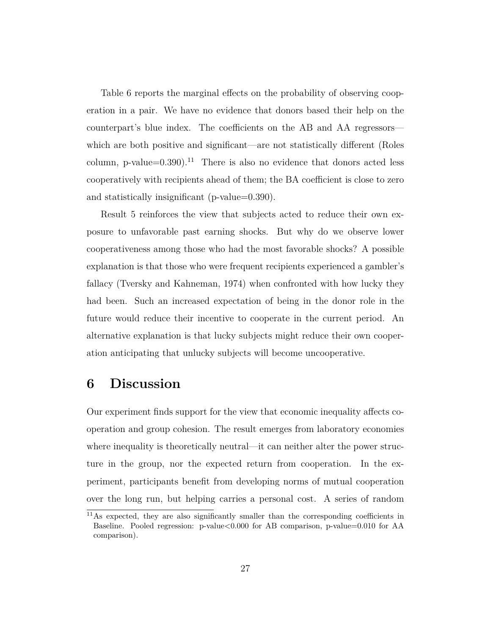Table 6 reports the marginal effects on the probability of observing cooperation in a pair. We have no evidence that donors based their help on the counterpart's blue index. The coefficients on the AB and AA regressors which are both positive and significant—are not statistically different (Roles column, p-value= $0.390$ ).<sup>11</sup> There is also no evidence that donors acted less cooperatively with recipients ahead of them; the BA coefficient is close to zero and statistically insignificant (p-value=0.390).

Result 5 reinforces the view that subjects acted to reduce their own exposure to unfavorable past earning shocks. But why do we observe lower cooperativeness among those who had the most favorable shocks? A possible explanation is that those who were frequent recipients experienced a gambler's fallacy (Tversky and Kahneman, 1974) when confronted with how lucky they had been. Such an increased expectation of being in the donor role in the future would reduce their incentive to cooperate in the current period. An alternative explanation is that lucky subjects might reduce their own cooperation anticipating that unlucky subjects will become uncooperative.

## **6 Discussion**

Our experiment finds support for the view that economic inequality affects cooperation and group cohesion. The result emerges from laboratory economies where inequality is theoretically neutral—it can neither alter the power structure in the group, nor the expected return from cooperation. In the experiment, participants benefit from developing norms of mutual cooperation over the long run, but helping carries a personal cost. A series of random

<sup>11</sup>As expected, they are also significantly smaller than the corresponding coefficients in Baseline. Pooled regression: p-value*<*0.000 for AB comparison, p-value=0.010 for AA comparison).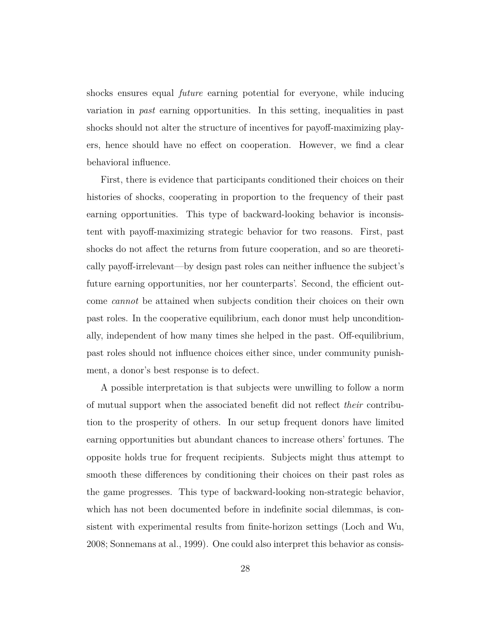shocks ensures equal *future* earning potential for everyone, while inducing variation in *past* earning opportunities. In this setting, inequalities in past shocks should not alter the structure of incentives for payoff-maximizing players, hence should have no effect on cooperation. However, we find a clear behavioral influence.

First, there is evidence that participants conditioned their choices on their histories of shocks, cooperating in proportion to the frequency of their past earning opportunities. This type of backward-looking behavior is inconsistent with payoff-maximizing strategic behavior for two reasons. First, past shocks do not affect the returns from future cooperation, and so are theoretically payoff-irrelevant—by design past roles can neither influence the subject's future earning opportunities, nor her counterparts'. Second, the efficient outcome *cannot* be attained when subjects condition their choices on their own past roles. In the cooperative equilibrium, each donor must help unconditionally, independent of how many times she helped in the past. Off-equilibrium, past roles should not influence choices either since, under community punishment, a donor's best response is to defect.

A possible interpretation is that subjects were unwilling to follow a norm of mutual support when the associated benefit did not reflect *their* contribution to the prosperity of others. In our setup frequent donors have limited earning opportunities but abundant chances to increase others' fortunes. The opposite holds true for frequent recipients. Subjects might thus attempt to smooth these differences by conditioning their choices on their past roles as the game progresses. This type of backward-looking non-strategic behavior, which has not been documented before in indefinite social dilemmas, is consistent with experimental results from finite-horizon settings (Loch and Wu, 2008; Sonnemans at al., 1999). One could also interpret this behavior as consis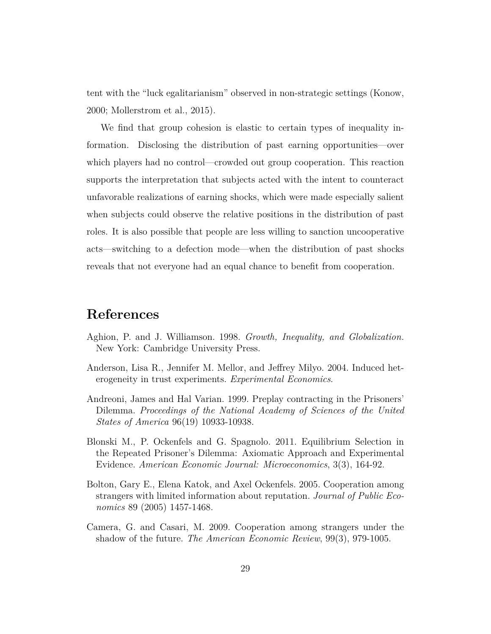tent with the "luck egalitarianism" observed in non-strategic settings (Konow, 2000; Mollerstrom et al., 2015).

We find that group cohesion is elastic to certain types of inequality information. Disclosing the distribution of past earning opportunities—over which players had no control—crowded out group cooperation. This reaction supports the interpretation that subjects acted with the intent to counteract unfavorable realizations of earning shocks, which were made especially salient when subjects could observe the relative positions in the distribution of past roles. It is also possible that people are less willing to sanction uncooperative acts—switching to a defection mode—when the distribution of past shocks reveals that not everyone had an equal chance to benefit from cooperation.

#### **References**

- Aghion, P. and J. Williamson. 1998. *Growth, Inequality, and Globalization.* New York: Cambridge University Press.
- Anderson, Lisa R., Jennifer M. Mellor, and Jeffrey Milyo. 2004. Induced heterogeneity in trust experiments. *Experimental Economics*.
- Andreoni, James and Hal Varian. 1999. Preplay contracting in the Prisoners' Dilemma. *Proceedings of the National Academy of Sciences of the United States of America* 96(19) 10933-10938.
- Blonski M., P. Ockenfels and G. Spagnolo. 2011. Equilibrium Selection in the Repeated Prisoner's Dilemma: Axiomatic Approach and Experimental Evidence. *American Economic Journal: Microeconomics*, 3(3), 164-92.
- Bolton, Gary E., Elena Katok, and Axel Ockenfels. 2005. Cooperation among strangers with limited information about reputation. *Journal of Public Economics* 89 (2005) 1457-1468.
- Camera, G. and Casari, M. 2009. Cooperation among strangers under the shadow of the future. *The American Economic Review*, 99(3), 979-1005.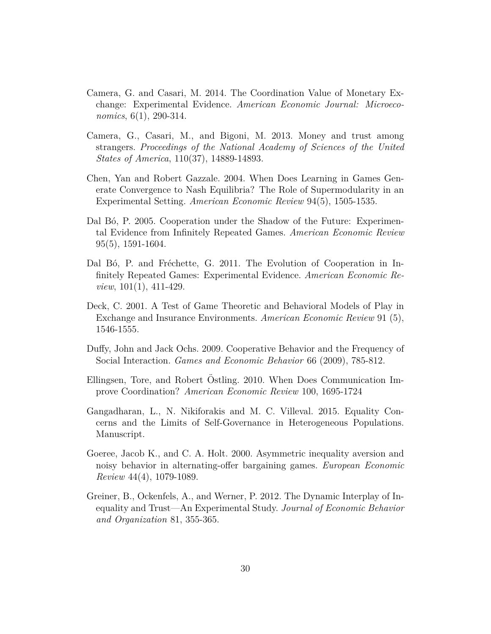- Camera, G. and Casari, M. 2014. The Coordination Value of Monetary Exchange: Experimental Evidence. *American Economic Journal: Microeconomics*, 6(1), 290-314.
- Camera, G., Casari, M., and Bigoni, M. 2013. Money and trust among strangers. *Proceedings of the National Academy of Sciences of the United States of America*, 110(37), 14889-14893.
- Chen, Yan and Robert Gazzale. 2004. When Does Learning in Games Generate Convergence to Nash Equilibria? The Role of Supermodularity in an Experimental Setting. *American Economic Review* 94(5), 1505-1535.
- Dal B<sub>6</sub>, P. 2005. Cooperation under the Shadow of the Future: Experimental Evidence from Infinitely Repeated Games. *American Economic Review* 95(5), 1591-1604.
- Dal Bó, P. and Fréchette, G. 2011. The Evolution of Cooperation in Infinitely Repeated Games: Experimental Evidence. *American Economic Review*, 101(1), 411-429.
- Deck, C. 2001. A Test of Game Theoretic and Behavioral Models of Play in Exchange and Insurance Environments. *American Economic Review* 91 (5), 1546-1555.
- Duffy, John and Jack Ochs. 2009. Cooperative Behavior and the Frequency of Social Interaction. *Games and Economic Behavior* 66 (2009), 785-812.
- Ellingsen, Tore, and Robert Ostling. 2010. When Does Communication Improve Coordination? *American Economic Review* 100, 1695-1724
- Gangadharan, L., N. Nikiforakis and M. C. Villeval. 2015. Equality Concerns and the Limits of Self-Governance in Heterogeneous Populations. Manuscript.
- Goeree, Jacob K., and C. A. Holt. 2000. Asymmetric inequality aversion and noisy behavior in alternating-offer bargaining games. *European Economic Review* 44(4), 1079-1089.
- Greiner, B., Ockenfels, A., and Werner, P. 2012. The Dynamic Interplay of Inequality and Trust—An Experimental Study. *Journal of Economic Behavior and Organization* 81, 355-365.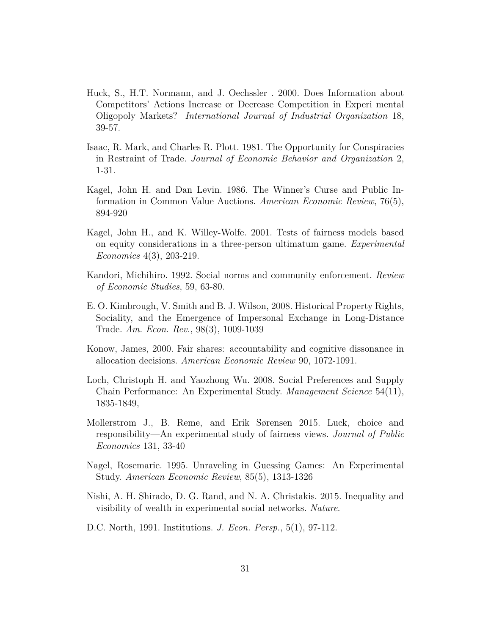- Huck, S., H.T. Normann, and J. Oechssler . 2000. Does Information about Competitors' Actions Increase or Decrease Competition in Experi mental Oligopoly Markets? *International Journal of Industrial Organization* 18, 39-57.
- Isaac, R. Mark, and Charles R. Plott. 1981. The Opportunity for Conspiracies in Restraint of Trade. *Journal of Economic Behavior and Organization* 2, 1-31.
- Kagel, John H. and Dan Levin. 1986. The Winner's Curse and Public Information in Common Value Auctions. *American Economic Review*, 76(5), 894-920
- Kagel, John H., and K. Willey-Wolfe. 2001. Tests of fairness models based on equity considerations in a three-person ultimatum game. *Experimental Economics* 4(3), 203-219.
- Kandori, Michihiro. 1992. Social norms and community enforcement. *Review of Economic Studies*, 59, 63-80.
- E. O. Kimbrough, V. Smith and B. J. Wilson, 2008. Historical Property Rights, Sociality, and the Emergence of Impersonal Exchange in Long-Distance Trade. *Am. Econ. Rev.*, 98(3), 1009-1039
- Konow, James, 2000. Fair shares: accountability and cognitive dissonance in allocation decisions. *American Economic Review* 90, 1072-1091.
- Loch, Christoph H. and Yaozhong Wu. 2008. Social Preferences and Supply Chain Performance: An Experimental Study. *Management Science* 54(11), 1835-1849,
- Mollerstrom J., B. Reme, and Erik Sørensen 2015. Luck, choice and responsibility—An experimental study of fairness views. *Journal of Public Economics* 131, 33-40
- Nagel, Rosemarie. 1995. Unraveling in Guessing Games: An Experimental Study. *American Economic Review*, 85(5), 1313-1326
- Nishi, A. H. Shirado, D. G. Rand, and N. A. Christakis. 2015. Inequality and visibility of wealth in experimental social networks. *Nature*.
- D.C. North, 1991. Institutions. *J. Econ. Persp.*, 5(1), 97-112.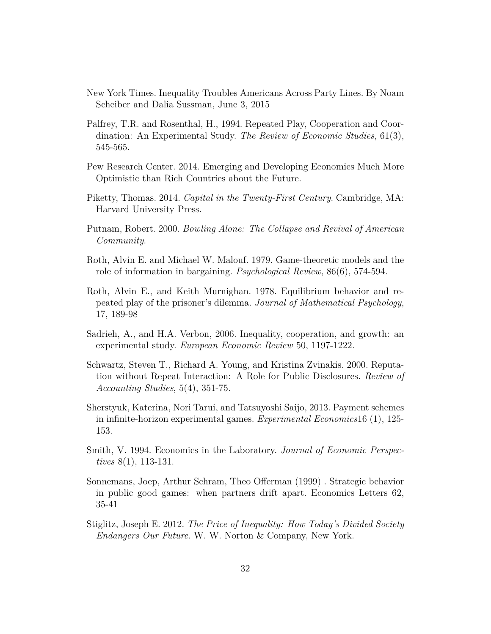- New York Times. Inequality Troubles Americans Across Party Lines. By Noam Scheiber and Dalia Sussman, June 3, 2015
- Palfrey, T.R. and Rosenthal, H., 1994. Repeated Play, Cooperation and Coordination: An Experimental Study. *The Review of Economic Studies*, 61(3), 545-565.
- Pew Research Center. 2014. Emerging and Developing Economies Much More Optimistic than Rich Countries about the Future.
- Piketty, Thomas. 2014. *Capital in the Twenty-First Century*. Cambridge, MA: Harvard University Press.
- Putnam, Robert. 2000. *Bowling Alone: The Collapse and Revival of American Community*.
- Roth, Alvin E. and Michael W. Malouf. 1979. Game-theoretic models and the role of information in bargaining. *Psychological Review*, 86(6), 574-594.
- Roth, Alvin E., and Keith Murnighan. 1978. Equilibrium behavior and repeated play of the prisoner's dilemma. *Journal of Mathematical Psychology*, 17, 189-98
- Sadrieh, A., and H.A. Verbon, 2006. Inequality, cooperation, and growth: an experimental study. *European Economic Review* 50, 1197-1222.
- Schwartz, Steven T., Richard A. Young, and Kristina Zvinakis. 2000. Reputation without Repeat Interaction: A Role for Public Disclosures. *Review of Accounting Studies*, 5(4), 351-75.
- Sherstyuk, Katerina, Nori Tarui, and Tatsuyoshi Saijo, 2013. Payment schemes in infinite-horizon experimental games. *Experimental Economics*16 (1), 125- 153.
- Smith, V. 1994. Economics in the Laboratory. *Journal of Economic Perspectives* 8(1), 113-131.
- Sonnemans, Joep, Arthur Schram, Theo Offerman (1999) . Strategic behavior in public good games: when partners drift apart. Economics Letters 62, 35-41
- Stiglitz, Joseph E. 2012. *The Price of Inequality: How Today's Divided Society Endangers Our Future*. W. W. Norton & Company, New York.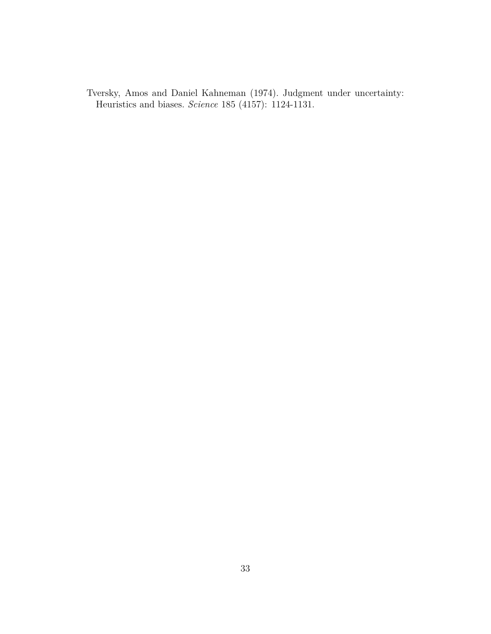Tversky, Amos and Daniel Kahneman (1974). Judgment under uncertainty: Heuristics and biases. *Science* 185 (4157): 1124-1131.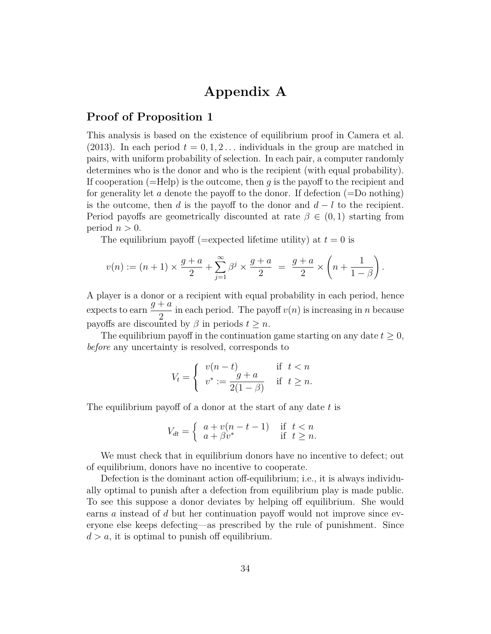## **Appendix A**

#### **Proof of Proposition 1**

This analysis is based on the existence of equilibrium proof in Camera et al. (2013). In each period  $t = 0, 1, 2, \ldots$  individuals in the group are matched in pairs, with uniform probability of selection. In each pair, a computer randomly determines who is the donor and who is the recipient (with equal probability). If cooperation (=Help) is the outcome, then *g* is the payoff to the recipient and for generality let *a* denote the payoff to the donor. If defection (=Do nothing) is the outcome, then *d* is the payoff to the donor and *d* − *l* to the recipient. Period payoffs are geometrically discounted at rate  $\beta \in (0,1)$  starting from period  $n > 0$ .

The equilibrium payoff (=expected lifetime utility) at  $t = 0$  is

$$
v(n) := (n+1) \times \frac{g+a}{2} + \sum_{j=1}^{\infty} \beta^j \times \frac{g+a}{2} = \frac{g+a}{2} \times \left(n + \frac{1}{1-\beta}\right).
$$

A player is a donor or a recipient with equal probability in each period, hence expects to earn *g* + *a* 2 in each period. The payoff *v*(*n*) is increasing in *n* because payoffs are discounted by  $\beta$  in periods  $t \geq n$ .

The equilibrium payoff in the continuation game starting on any date  $t \geq 0$ , *before* any uncertainty is resolved, corresponds to

$$
V_t = \begin{cases} v(n-t) & \text{if } t < n \\ v^* := \frac{g+a}{2(1-\beta)} & \text{if } t \ge n. \end{cases}
$$

The equilibrium payoff of a donor at the start of any date *t* is

$$
V_{dt} = \begin{cases} a + v(n - t - 1) & \text{if } t < n \\ a + \beta v^* & \text{if } t \ge n. \end{cases}
$$

We must check that in equilibrium donors have no incentive to defect; out of equilibrium, donors have no incentive to cooperate.

Defection is the dominant action off-equilibrium; i.e., it is always individually optimal to punish after a defection from equilibrium play is made public. To see this suppose a donor deviates by helping off equilibrium. She would earns *a* instead of *d* but her continuation payoff would not improve since everyone else keeps defecting—as prescribed by the rule of punishment. Since  $d > a$ , it is optimal to punish off equilibrium.